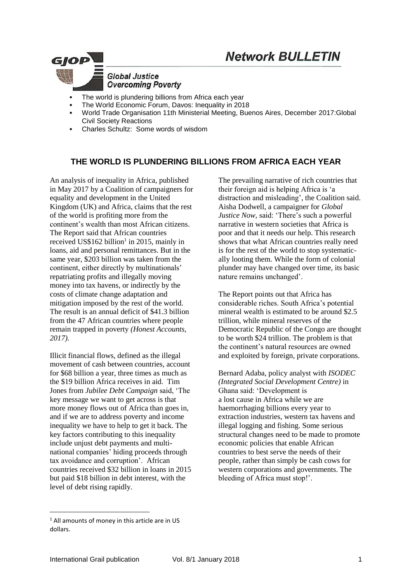## **Network BULLETIN**



- The world is plundering billions from Africa each year
- The World Economic Forum, Davos: Inequality in 2018
- World Trade Organisation 11th Ministerial Meeting, Buenos Aires, December 2017:Global Civil Society Reactions
- Charles Schultz: Some words of wisdom

## **THE WORLD IS PLUNDERING BILLIONS FROM AFRICA EACH YEAR**

An analysis of inequality in Africa, published in May 2017 by a Coalition of campaigners for equality and development in the United Kingdom (UK) and Africa, claims that the rest of the world is profiting more from the continent's wealth than most African citizens. The Report said that African countries received US\$162 billion<sup>1</sup> in 2015, mainly in loans, aid and personal remittances. But in the same year, \$203 billion was taken from the continent, either directly by multinationals' repatriating profits and illegally moving money into tax havens, or indirectly by the costs of climate change adaptation and mitigation imposed by the rest of the world. The result is an annual deficit of \$41.3 billion from the 47 African countries where people remain trapped in poverty *(Honest Accounts, 2017).*

Illicit financial flows, defined as the illegal movement of cash between countries, account for \$68 billion a year, three times as much as the \$19 billion Africa receives in aid. Tim Jones from *Jubilee Debt Campaign* said, 'The key message we want to get across is that more money flows out of Africa than goes in, and if we are to address poverty and income inequality we have to help to get it back. The key factors contributing to this inequality include unjust debt payments and multinational companies' hiding proceeds through tax avoidance and corruption'. African countries received \$32 billion in loans in 2015 but paid \$18 billion in debt interest, with the level of debt rising rapidly.

The prevailing narrative of rich countries that their foreign aid is helping Africa is 'a distraction and misleading', the Coalition said. Aisha Dodwell, a campaigner for *Global Justice Now,* said: 'There's such a powerful narrative in western societies that Africa is poor and that it needs our help. This research shows that what African countries really need is for the rest of the world to stop systematically looting them. While the form of colonial plunder may have changed over time, its basic nature remains unchanged'.

The Report points out that Africa has considerable riches. South Africa's potential mineral wealth is estimated to be around \$2.5 trillion, while mineral reserves of the Democratic Republic of the Congo are thought to be worth \$24 trillion. The problem is that the continent's natural resources are owned and exploited by foreign, private corporations.

Bernard Adaba, policy analyst with *ISODEC (Integrated Social Development Centre)* in Ghana said: 'Development is a lost cause in Africa while we are haemorrhaging billions every year to extraction industries, western tax havens and illegal logging and fishing. Some serious structural changes need to be made to promote economic policies that enable African countries to best serve the needs of their people, rather than simply be cash cows for western corporations and governments. The bleeding of Africa must stop!'.

<u>.</u>

<sup>&</sup>lt;sup>1</sup> All amounts of money in this article are in US dollars.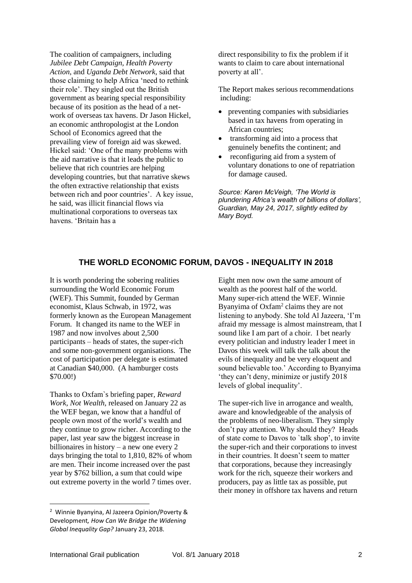The coalition of campaigners, including *Jubilee Debt Campaign, Health Poverty Action*, and *Uganda Debt Network*, said that those claiming to help Africa 'need to rethink their role'. They singled out the British government as bearing special responsibility because of its position as the head of a network of overseas tax havens. Dr Jason Hickel, an economic anthropologist at the London School of Economics agreed that the prevailing view of foreign aid was skewed. Hickel said: 'One of the many problems with the aid narrative is that it leads the public to believe that rich countries are helping developing countries, but that narrative skews the often extractive relationship that exists between rich and poor countries'. A key issue, he said, was illicit financial flows via multinational corporations to overseas tax havens. 'Britain has a

direct responsibility to fix the problem if it wants to claim to care about international poverty at all'.

The Report makes serious recommendations including:

- preventing companies with subsidiaries based in tax havens from operating in African countries;
- transforming aid into a process that genuinely benefits the continent; and
- reconfiguring aid from a system of voluntary donations to one of repatriation for damage caused.

*Source: Karen McVeigh, 'The World is plundering Africa's wealth of billions of dollars', Guardian, May 24, 2017, slightly edited by Mary Boyd.*

## **THE WORLD ECONOMIC FORUM, DAVOS - INEQUALITY IN 2018**

It is worth pondering the sobering realities surrounding the World Economic Forum (WEF). This Summit, founded by German economist, Klaus Schwab, in 1972, was formerly known as the European Management Forum. It changed its name to the WEF in 1987 and now involves about 2,500 participants – heads of states, the super-rich and some non-government organisations. The cost of participation per delegate is estimated at Canadian \$40,000. (A hamburger costs \$70.00!)

Thanks to Oxfam`s briefing paper*, Reward Work, Not Wealth,* released on January 22 as the WEF began, we know that a handful of people own most of the world's wealth and they continue to grow richer. According to the paper, last year saw the biggest increase in billionaires in history – a new one every 2 days bringing the total to 1,810, 82% of whom are men. Their income increased over the past year by \$762 billion, a sum that could wipe out extreme poverty in the world 7 times over.

Eight men now own the same amount of wealth as the poorest half of the world. Many super-rich attend the WEF. Winnie Byanyima of Oxfam<sup>2</sup> claims they are not listening to anybody. She told Al Jazeera, 'I'm afraid my message is almost mainstream, that I sound like I am part of a choir. I bet nearly every politician and industry leader I meet in Davos this week will talk the talk about the evils of inequality and be very eloquent and sound believable too.' According to Byanyima 'they can't deny, minimize or justify 2018 levels of global inequality'.

The super-rich live in arrogance and wealth, aware and knowledgeable of the analysis of the problems of neo-liberalism. They simply don't pay attention. Why should they? Heads of state come to Davos to `talk shop', to invite the super-rich and their corporations to invest in their countries. It doesn't seem to matter that corporations, because they increasingly work for the rich, squeeze their workers and producers, pay as little tax as possible, put their money in offshore tax havens and return

1

<sup>2</sup> Winnie Byanyina, Al Jazeera Opinion/Poverty & Development*, How Can We Bridge the Widening Global Inequality Gap?* January 23, 2018.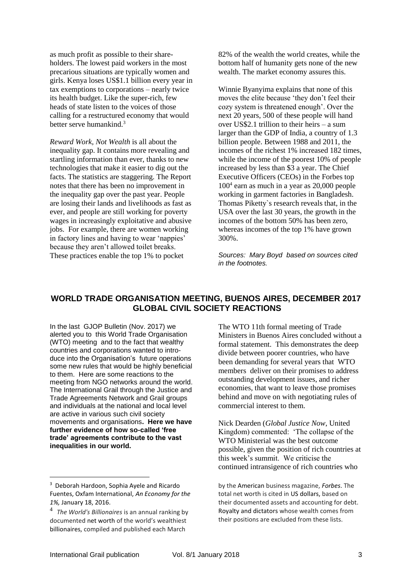as much profit as possible to their shareholders. The lowest paid workers in the most precarious situations are typically women and girls. Kenya loses US\$1.1 billion every year in tax exemptions to corporations – nearly twice its health budget. Like the super-rich, few heads of state listen to the voices of those calling for a restructured economy that would better serve humankind.<sup>3</sup>

*Reward Work, Not Wealth* is all about the inequality gap. It contains more revealing and startling information than ever, thanks to new technologies that make it easier to dig out the facts. The statistics are staggering. The Report notes that there has been no improvement in the inequality gap over the past year. People are losing their lands and livelihoods as fast as ever, and people are still working for poverty wages in increasingly exploitative and abusive jobs. For example, there are women working in factory lines and having to wear 'nappies' because they aren't allowed toilet breaks. These practices enable the top 1% to pocket

82% of the wealth the world creates, while the bottom half of humanity gets none of the new wealth. The market economy assures this.

Winnie Byanyima explains that none of this moves the elite because 'they don't feel their cozy system is threatened enough'. Over the next 20 years, 500 of these people will hand over US\$2.1 trillion to their heirs – a sum larger than the GDP of India, a country of 1.3 billion people. Between 1988 and 2011, the incomes of the richest 1% increased 182 times, while the income of the poorest 10% of people increased by less than \$3 a year. The Chief Executive Officers (CEOs) in the Forbes top 100<sup>4</sup> earn as much in a year as 20,000 people working in garment factories in Bangladesh. Thomas Piketty`s research reveals that, in the USA over the last 30 years, the growth in the incomes of the bottom 50% has been zero, whereas incomes of the top 1% have grown 300%.

*Sources: Mary Boyd based on sources cited in the footnotes.*

## **WORLD TRADE ORGANISATION MEETING, BUENOS AIRES, DECEMBER 2017 GLOBAL CIVIL SOCIETY REACTIONS**

In the last GJOP Bulletin (Nov. 2017) we alerted you to this World Trade Organisation (WTO) meeting and to the fact that wealthy countries and corporations wanted to introduce into the Organisation's future operations some new rules that would be highly beneficial to them. Here are some reactions to the meeting from NGO networks around the world. The International Grail through the Justice and Trade Agreements Network and Grail groups and individuals at the national and local level are active in various such civil society movements and organisations**. Here we have further evidence of how so-called 'free trade' agreements contribute to the vast inequalities in our world.**

The WTO 11th formal meeting of Trade Ministers in Buenos Aires concluded without a formal statement. This demonstrates the deep divide between poorer countries, who have been demanding for several years that WTO members deliver on their promises to address outstanding development issues, and richer economies, that want to leave those promises behind and move on with negotiating rules of commercial interest to them.

Nick Dearden (*Global Justice Now*, United Kingdom) commented: 'The collapse of the WTO Ministerial was the best outcome possible, given the position of rich countries at this week's summit. We criticise the continued intransigence of rich countries who

1

<sup>3</sup> Deborah Hardoon, Sophia Ayele and Ricardo Fuentes, Oxfam International, *An Economy for the 1%,* January 18, 2016.

<sup>4</sup> *The World's Billionaires* is an annual ranking by documented [net worth](https://en.wikipedia.org/wiki/Net_worth) of the world's wealthiest [billionaires](https://en.wikipedia.org/wiki/Billionaire), compiled and published each March

by the [American](https://en.wikipedia.org/wiki/United_States) business magazine, *[Forbes](https://en.wikipedia.org/wiki/Forbes)*. The total net worth is cited in US dollars, based on their documented assets and accounting for debt. [Royalty](https://en.wikipedia.org/wiki/Royal_family) and [dictators](https://en.wikipedia.org/wiki/Dictator) whose wealth comes from their positions are excluded from these lists.